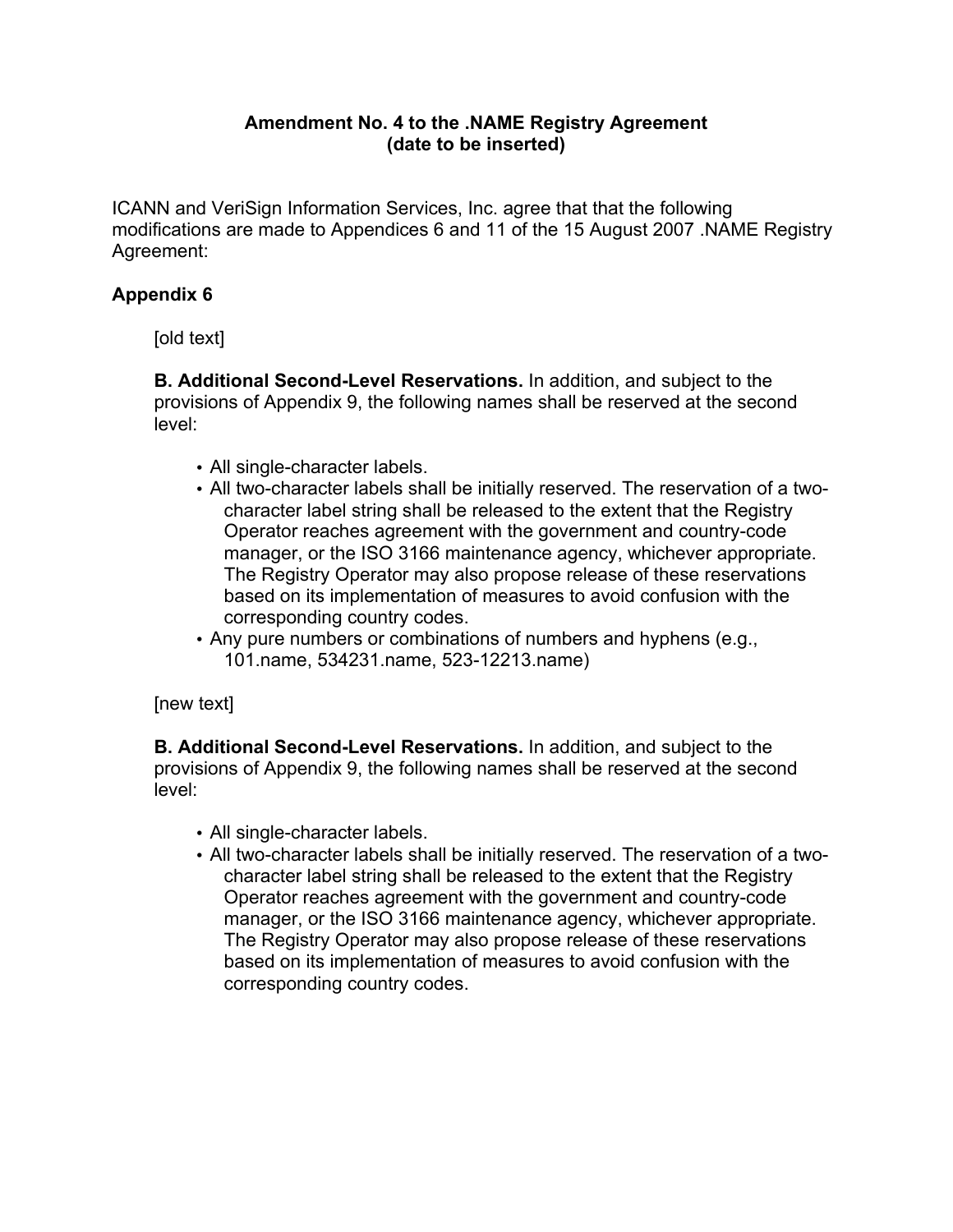## **Amendment No. 4 to the .NAME Registry Agreement (date to be inserted)**

ICANN and VeriSign Information Services, Inc. agree that that the following modifications are made to Appendices 6 and 11 of the 15 August 2007 .NAME Registry Agreement:

## **Appendix 6**

[old text]

**B. Additional Second-Level Reservations.** In addition, and subject to the provisions of Appendix 9, the following names shall be reserved at the second level:

- All single-character labels.
- All two-character labels shall be initially reserved. The reservation of a twocharacter label string shall be released to the extent that the Registry Operator reaches agreement with the government and country-code manager, or the ISO 3166 maintenance agency, whichever appropriate. The Registry Operator may also propose release of these reservations based on its implementation of measures to avoid confusion with the corresponding country codes.
- Any pure numbers or combinations of numbers and hyphens (e.g., 101.name, 534231.name, 523-12213.name)

[new text]

**B. Additional Second-Level Reservations.** In addition, and subject to the provisions of Appendix 9, the following names shall be reserved at the second level:

- All single-character labels.
- All two-character labels shall be initially reserved. The reservation of a twocharacter label string shall be released to the extent that the Registry Operator reaches agreement with the government and country-code manager, or the ISO 3166 maintenance agency, whichever appropriate. The Registry Operator may also propose release of these reservations based on its implementation of measures to avoid confusion with the corresponding country codes.